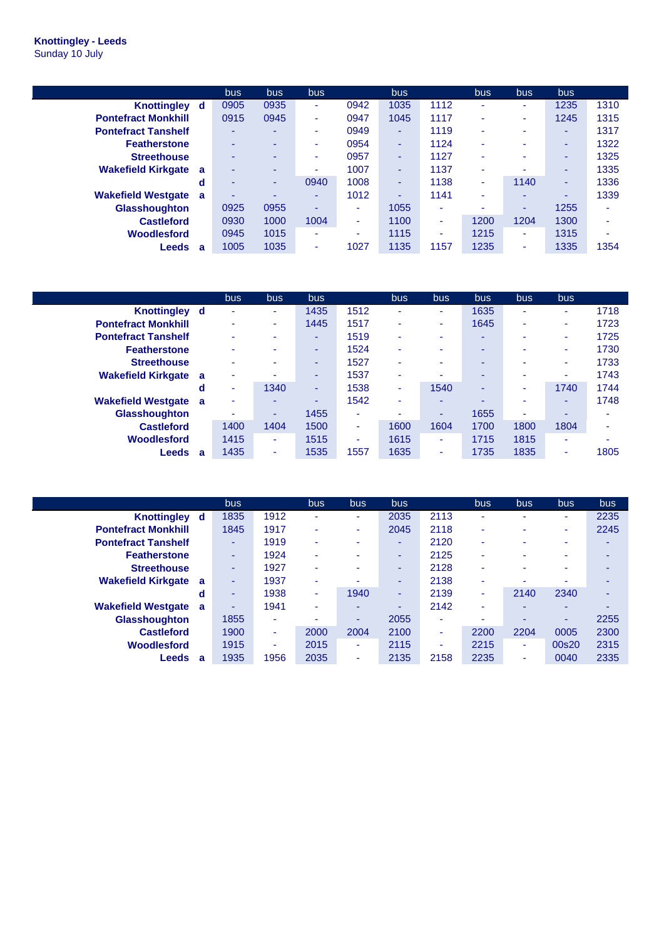## **Knottingley - Leeds** Sunday 10 July

|                                       | bus. | <b>bus</b>               | <b>bus</b> |                          | bus. |      | bus                      | bus. | <b>bus</b>               |      |
|---------------------------------------|------|--------------------------|------------|--------------------------|------|------|--------------------------|------|--------------------------|------|
| <b>Knottingley</b><br>d               | 0905 | 0935                     | ۰.         | 0942                     | 1035 | 1112 | ٠                        | ۰.   | 1235                     | 1310 |
| <b>Pontefract Monkhill</b>            | 0915 | 0945                     | ۰.         | 0947                     | 1045 | 1117 | ٠                        | ۰.   | 1245                     | 1315 |
| <b>Pontefract Tanshelf</b>            | ۰    | $\sim$                   | ۰.         | 0949                     | ۰.   | 1119 | ۰                        | ۰    | $\overline{\phantom{a}}$ | 1317 |
| <b>Featherstone</b>                   | ۰    | $\overline{\phantom{0}}$ |            | 0954                     | ۰.   | 1124 | $\overline{\phantom{a}}$ | ۰.   | ۰                        | 1322 |
| <b>Streethouse</b>                    | ۰    | ۰                        | ۰.         | 0957                     | ۰    | 1127 | ۰                        |      | ۰                        | 1325 |
| <b>Wakefield Kirkgate</b><br>a        | ۰    | $\overline{\phantom{0}}$ | ۰          | 1007                     | -    | 1137 | $\overline{\phantom{a}}$ |      | ۰                        | 1335 |
| d                                     | ۰    | ۰                        | 0940       | 1008                     | ۰    | 1138 | ۰                        | 1140 | $\overline{\phantom{a}}$ | 1336 |
| <b>Wakefield Westgate</b><br><b>a</b> | ۰    | $\overline{\phantom{0}}$ | -          | 1012                     | ۰    | 1141 | $\overline{\phantom{a}}$ | ۰.   |                          | 1339 |
| <b>Glasshoughton</b>                  | 0925 | 0955                     | ۰          | $\overline{\phantom{a}}$ | 1055 | ٠    | ۰                        |      | 1255                     | ۰    |
| <b>Castleford</b>                     | 0930 | 1000                     | 1004       | $\overline{\phantom{a}}$ | 1100 | ٠    | 1200                     | 1204 | 1300                     | ۰    |
| Woodlesford                           | 0945 | 1015                     | ۰          | $\overline{\phantom{a}}$ | 1115 | ٠    | 1215                     | ۰    | 1315                     | ۰    |
| Leeds<br>a                            | 1005 | 1035                     | ۰          | 1027                     | 1135 | 1157 | 1235                     | ۰    | 1335                     | 1354 |

|                             |          | bus  | bus.                     | bus  |      | bus.                     | bus  | bus. | bus. | bus. |      |
|-----------------------------|----------|------|--------------------------|------|------|--------------------------|------|------|------|------|------|
| Knottingley d               |          | ٠    | ۰                        | 1435 | 1512 | $\overline{\phantom{a}}$ | ٠    | 1635 | ۰    | ۰    | 1718 |
| <b>Pontefract Monkhill</b>  |          | ۰    | ۰.                       | 1445 | 1517 | ۰                        | ٠    | 1645 | ۰    | ٠    | 1723 |
| <b>Pontefract Tanshelf</b>  |          | ۰    | ۰                        | ۰    | 1519 | $\overline{\phantom{a}}$ | ۰    | ۰    | ۰    | ۰    | 1725 |
| <b>Featherstone</b>         |          | ۰    | ٠                        | ۰    | 1524 | ۰                        |      | ۰    | ۰    | ٠    | 1730 |
| <b>Streethouse</b>          |          | ۰    | $\overline{\phantom{a}}$ | -    | 1527 | $\overline{\phantom{a}}$ | ۰    | ۰    | ۰    | ۰    | 1733 |
| <b>Wakefield Kirkgate</b>   | <b>a</b> | ٠    | $\overline{\phantom{a}}$ | ۰    | 1537 | ۰                        |      | ۰    |      | ۰    | 1743 |
|                             | d        | ۰    | 1340                     |      | 1538 | ٠                        | 1540 | ۰    | ۰    | 1740 | 1744 |
| <b>Wakefield Westgate a</b> |          | ٠    | -                        | -    | 1542 | $\overline{\phantom{a}}$ | -    | ۰    |      | -    | 1748 |
| <b>Glasshoughton</b>        |          | ٠    | ٠                        | 1455 | ٠    |                          | -    | 1655 | ۰    | ۰    |      |
| <b>Castleford</b>           |          | 1400 | 1404                     | 1500 | ۰    | 1600                     | 1604 | 1700 | 1800 | 1804 |      |
| Woodlesford                 |          | 1415 | ٠                        | 1515 | ٠    | 1615                     | ۰    | 1715 | 1815 | ۰    | ۰    |
| <b>Leeds</b>                | -a       | 1435 | ۰                        | 1535 | 1557 | 1635                     | ۰    | 1735 | 1835 | ۰    | 1805 |

|                                | bus  |      | bus.   | <b>bus</b>               | bus. |      | bus                      | bus. | bus.                     | <b>bus</b> |
|--------------------------------|------|------|--------|--------------------------|------|------|--------------------------|------|--------------------------|------------|
| <b>Knottingley</b><br>d        | 1835 | 1912 | ٠      | ٠                        | 2035 | 2113 | ۰                        | ۰    | ٠                        | 2235       |
| <b>Pontefract Monkhill</b>     | 1845 | 1917 | ٠      | $\overline{\phantom{a}}$ | 2045 | 2118 | ۰                        | ۰.   | $\overline{\phantom{a}}$ | 2245       |
| <b>Pontefract Tanshelf</b>     | ٠    | 1919 | ÷      |                          | ۰    | 2120 | ۰                        | ۰.   | $\overline{\phantom{a}}$ | ۰          |
| <b>Featherstone</b>            | ٠    | 1924 | $\sim$ | $\overline{\phantom{a}}$ | ۰    | 2125 | $\overline{\phantom{a}}$ |      | $\overline{\phantom{a}}$ | ۰          |
| <b>Streethouse</b>             | ٠    | 1927 | ÷      | ۰                        | ۰    | 2128 | $\overline{\phantom{a}}$ |      | ۰                        |            |
| <b>Wakefield Kirkgate</b><br>a | ٠    | 1937 |        |                          | ٠    | 2138 | $\overline{\phantom{a}}$ |      | $\overline{\phantom{a}}$ | ۰          |
| d                              | ۰    | 1938 | ٠      | 1940                     | ۰.   | 2139 | ٠                        | 2140 | 2340                     | ۰          |
| <b>Wakefield Westgate</b><br>a | ۰    | 1941 | ۰      | $\overline{\phantom{a}}$ | ۰    | 2142 | ٠                        | ۰    | -                        | ۰          |
| <b>Glasshoughton</b>           | 1855 | ۰    |        | ۰                        | 2055 | ٠    |                          |      | ۰                        | 2255       |
| <b>Castleford</b>              | 1900 | ٠    | 2000   | 2004                     | 2100 | ٠    | 2200                     | 2204 | 0005                     | 2300       |
| <b>Woodlesford</b>             | 1915 | ۰    | 2015   | $\overline{\phantom{a}}$ | 2115 | ٠    | 2215                     | ۰.   | 00s20                    | 2315       |
| Leeds<br>a                     | 1935 | 1956 | 2035   | $\overline{\phantom{a}}$ | 2135 | 2158 | 2235                     | ۰    | 0040                     | 2335       |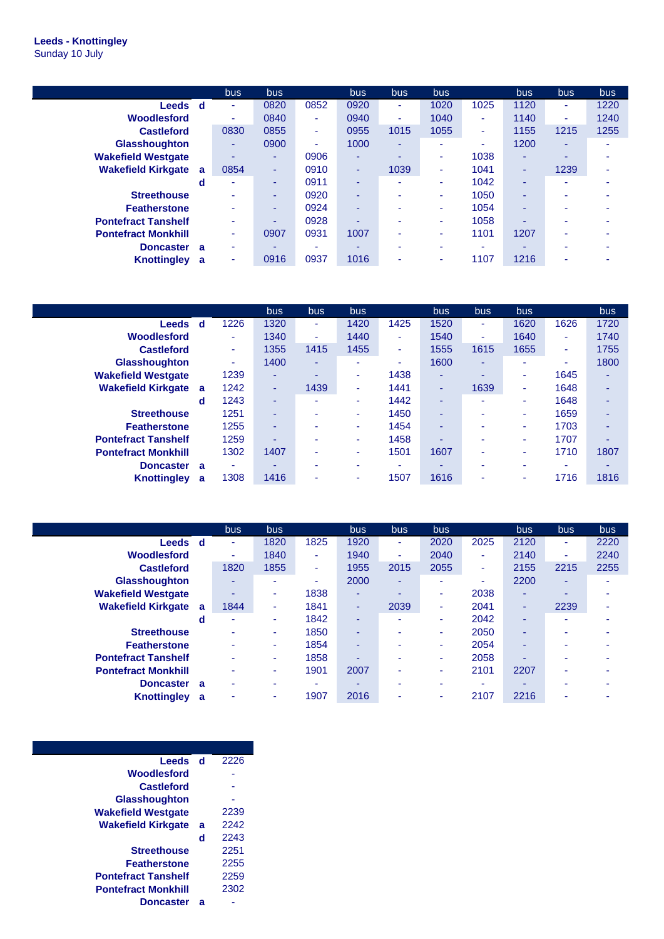## **Leeds - Knottingley** Sunday 10 July

|                            |          | bus. | <b>bus</b> |      | bus  | bus. | bus  |      | bus  | <b>bus</b>               | <b>bus</b> |
|----------------------------|----------|------|------------|------|------|------|------|------|------|--------------------------|------------|
| Leeds d                    |          | ۰    | 0820       | 0852 | 0920 | ۰    | 1020 | 1025 | 1120 | ٠                        | 1220       |
| Woodlesford                |          | ٠    | 0840       | ٠    | 0940 | ٠    | 1040 | ۰    | 1140 | ٠                        | 1240       |
| <b>Castleford</b>          |          | 0830 | 0855       | ۰    | 0955 | 1015 | 1055 | ٠    | 1155 | 1215                     | 1255       |
| <b>Glasshoughton</b>       |          | ۰    | 0900       | ٠    | 1000 | -    | ۰    | ۰    | 1200 | $\overline{\phantom{a}}$ |            |
| <b>Wakefield Westgate</b>  |          | ۰.   | ٠          | 0906 | ٠    |      | ۰    | 1038 | ٠    |                          |            |
| <b>Wakefield Kirkgate</b>  | <b>a</b> | 0854 | ٠          | 0910 | ۰    | 1039 | ۰    | 1041 | ۰    | 1239                     |            |
|                            | d        |      | ۰          | 0911 | ٠    |      | ۰    | 1042 | ۰    |                          |            |
| <b>Streethouse</b>         |          |      | ۰          | 0920 | ٠    |      | ۰    | 1050 | ۰    |                          |            |
| <b>Featherstone</b>        |          | ۰    | ٠          | 0924 | ٠    |      | ۰    | 1054 | ۰    |                          |            |
| <b>Pontefract Tanshelf</b> |          | -    | ۰          | 0928 | ٠    | -    | ۰    | 1058 | ۰    |                          |            |
| <b>Pontefract Monkhill</b> |          | ٠    | 0907       | 0931 | 1007 | ۰    | ۰    | 1101 | 1207 |                          |            |
| <b>Doncaster</b>           | - a      | -    | ۰          | -    | -    | -    | ۰    | -    | -    | -                        |            |
| <b>Knottingley</b>         | a        | ۰    | 0916       | 0937 | 1016 |      | ۰    | 1107 | 1216 |                          |            |

|                            |   |      | bus  | bus. | <b>bus</b>               |      | bus. | bus. | bus. |      | bus.                     |
|----------------------------|---|------|------|------|--------------------------|------|------|------|------|------|--------------------------|
| <b>Leeds</b>               | d | 1226 | 1320 | ٠    | 1420                     | 1425 | 1520 | ۰.   | 1620 | 1626 | 1720                     |
| Woodlesford                |   | ٠    | 1340 | ÷    | 1440                     | ٠    | 1540 | ۰.   | 1640 | ۰    | 1740                     |
| <b>Castleford</b>          |   | ٠    | 1355 | 1415 | 1455                     | ٠    | 1555 | 1615 | 1655 | ٠    | 1755                     |
| <b>Glasshoughton</b>       |   | ۰    | 1400 | ٠    | $\overline{\phantom{a}}$ | ۰    | 1600 | -    | ۰    | ۰    | 1800                     |
| <b>Wakefield Westgate</b>  |   | 1239 | ۰    | -    | ٠                        | 1438 | ۰    |      | ٠    | 1645 | ۰                        |
| <b>Wakefield Kirkgate</b>  | a | 1242 | ٠    | 1439 | $\overline{\phantom{a}}$ | 1441 | ٠    | 1639 | ٠    | 1648 | ۰                        |
|                            | d | 1243 | ۰    | ۰    | ٠                        | 1442 | ۰    | ۰    | ۰    | 1648 | ۰                        |
| <b>Streethouse</b>         |   | 1251 | ۰    |      | ۰                        | 1450 | ۰    | ۰    | ٠    | 1659 | ۰                        |
| <b>Featherstone</b>        |   | 1255 | ۰    |      | ۰                        | 1454 | ۰    |      | ٠    | 1703 | ۰                        |
| <b>Pontefract Tanshelf</b> |   | 1259 | -    |      | ۰                        | 1458 | ۰    | ۰    | ٠    | 1707 | $\overline{\phantom{a}}$ |
| <b>Pontefract Monkhill</b> |   | 1302 | 1407 | ۰    | $\overline{\phantom{a}}$ | 1501 | 1607 | ۰    | ٠    | 1710 | 1807                     |
| <b>Doncaster</b>           | a | ٠    | -    |      | $\overline{\phantom{a}}$ | ۰    | ۰    | ۰    | ۰    |      |                          |
| <b>Knottingley</b>         | a | 1308 | 1416 |      |                          | 1507 | 1616 | ۰    | ۰    | 1716 | 1816                     |

|                            |   | <b>bus</b> | bus  |        | <b>bus</b>               | bus. | <b>bus</b> |      | bus.                     | <b>bus</b> | bus  |
|----------------------------|---|------------|------|--------|--------------------------|------|------------|------|--------------------------|------------|------|
| Leeds                      | d | ٠          | 1820 | 1825   | 1920                     | ۰    | 2020       | 2025 | 2120                     | ٠          | 2220 |
| Woodlesford                |   | ٠          | 1840 | ٠      | 1940                     | ۰    | 2040       | ٠    | 2140                     | ۰.         | 2240 |
| <b>Castleford</b>          |   | 1820       | 1855 | $\sim$ | 1955                     | 2015 | 2055       | ٠    | 2155                     | 2215       | 2255 |
| <b>Glasshoughton</b>       |   | ۰          | ٠    | ۰      | 2000                     | ۰    | ٠          | ٠    | 2200                     | ۰.         |      |
| <b>Wakefield Westgate</b>  |   | ۰          | ۰    | 1838   | ۰                        | -    | ٠          | 2038 | $\overline{\phantom{a}}$ | ۰          |      |
| <b>Wakefield Kirkgate</b>  | a | 1844       | ۰.   | 1841   | ۰                        | 2039 | ٠          | 2041 | $\overline{\phantom{a}}$ | 2239       | ۰    |
|                            | d | ٠          | ۰    | 1842   | -                        | ۰    | ٠          | 2042 | $\overline{\phantom{a}}$ | ٠          |      |
| <b>Streethouse</b>         |   |            | ۰    | 1850   | ۰                        |      | ٠          | 2050 | $\overline{\phantom{a}}$ |            |      |
| <b>Featherstone</b>        |   | ۰          | ۰.   | 1854   | $\overline{\phantom{a}}$ | -    | ۰          | 2054 |                          |            |      |
| <b>Pontefract Tanshelf</b> |   |            | ۰    | 1858   | ۰                        |      | ٠          | 2058 |                          | ۰          |      |
| <b>Pontefract Monkhill</b> |   |            | ۰    | 1901   | 2007                     | ۰    | ٠          | 2101 | 2207                     | ۰          |      |
| <b>Doncaster</b>           | a | ۰          | ۰    |        |                          |      | ۰          | ۰    |                          |            |      |
| <b>Knottingley</b>         | a | ۰          | ۰    | 1907   | 2016                     |      | ۰          | 2107 | 2216                     |            |      |

| <b>Leeds</b>               | - d | 2226 |
|----------------------------|-----|------|
| Woodlesford                |     |      |
| <b>Castleford</b>          |     |      |
| <b>Glasshoughton</b>       |     |      |
| <b>Wakefield Westgate</b>  |     | 2239 |
| <b>Wakefield Kirkgate</b>  | a   | 2242 |
|                            | d   | 2243 |
| <b>Streethouse</b>         |     | 2251 |
| <b>Featherstone</b>        |     | 2255 |
| <b>Pontefract Tanshelf</b> |     | 2259 |
| <b>Pontefract Monkhill</b> |     | 2302 |
| <b>Doncaster</b>           | a   |      |